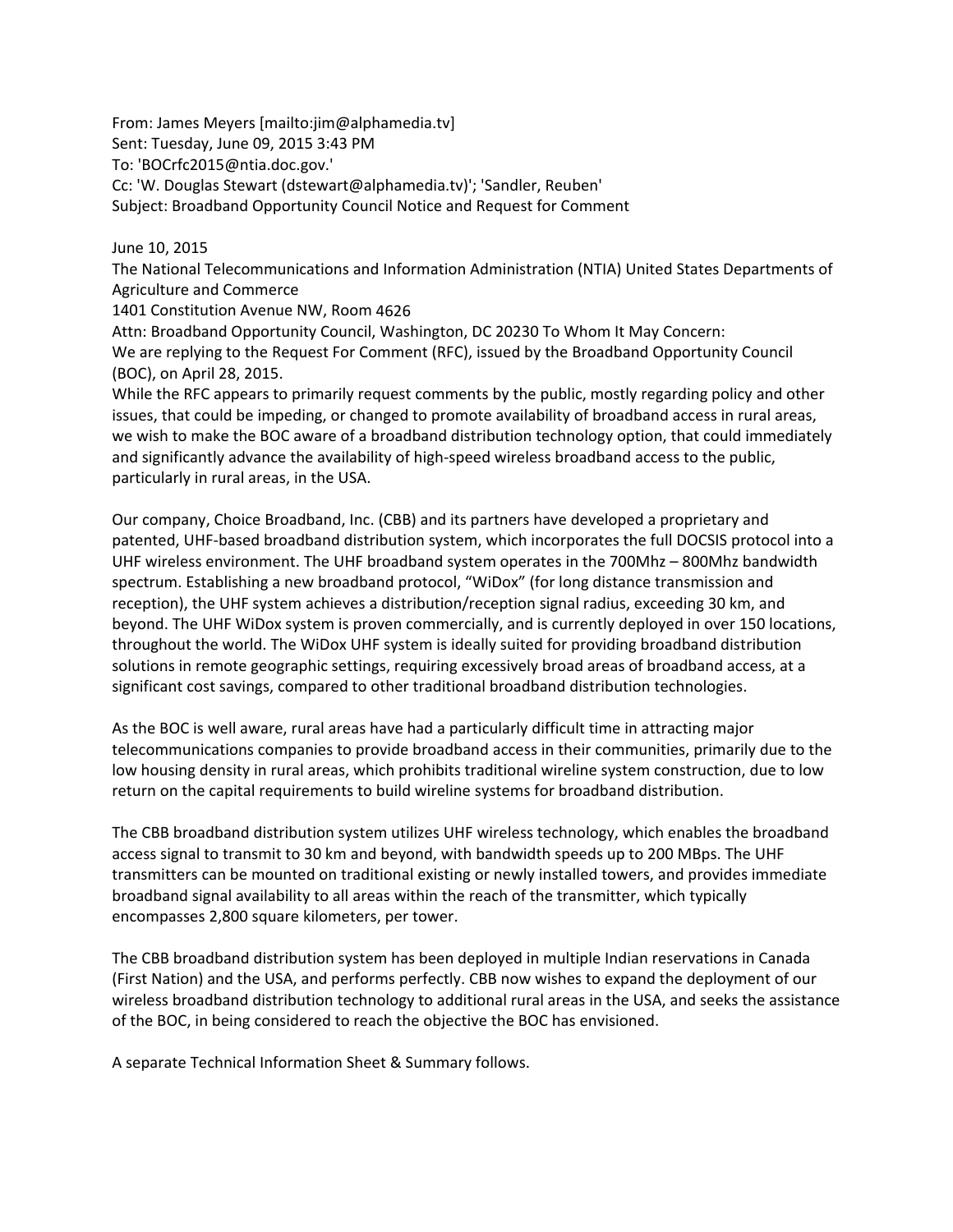From: James Meyers [mailto:jim@alphamedia.tv] Sent: Tuesday, June 09, 2015 3:43 PM To: 'BOCrfc2015@ntia.doc.gov.' Cc: 'W. Douglas Stewart (dstewart@alphamedia.tv)'; 'Sandler, Reuben' Subject: Broadband Opportunity Council Notice and Request for Comment

# June 10, 2015

The National Telecommunications and Information Administration (NTIA) United States Departments of Agriculture and Commerce

1401 Constitution Avenue NW, Room 4626

Attn: Broadband Opportunity Council, Washington, DC 20230 To Whom It May Concern: We are replying to the Request For Comment (RFC), issued by the Broadband Opportunity Council (BOC), on April 28, 2015.

While the RFC appears to primarily request comments by the public, mostly regarding policy and other issues, that could be impeding, or changed to promote availability of broadband access in rural areas, we wish to make the BOC aware of a broadband distribution technology option, that could immediately and significantly advance the availability of high‐speed wireless broadband access to the public, particularly in rural areas, in the USA.

Our company, Choice Broadband, Inc. (CBB) and its partners have developed a proprietary and patented, UHF‐based broadband distribution system, which incorporates the full DOCSIS protocol into a UHF wireless environment. The UHF broadband system operates in the 700Mhz – 800Mhz bandwidth spectrum. Establishing a new broadband protocol, "WiDox" (for long distance transmission and reception), the UHF system achieves a distribution/reception signal radius, exceeding 30 km, and beyond. The UHF WiDox system is proven commercially, and is currently deployed in over 150 locations, throughout the world. The WiDox UHF system is ideally suited for providing broadband distribution solutions in remote geographic settings, requiring excessively broad areas of broadband access, at a significant cost savings, compared to other traditional broadband distribution technologies.

As the BOC is well aware, rural areas have had a particularly difficult time in attracting major telecommunications companies to provide broadband access in their communities, primarily due to the low housing density in rural areas, which prohibits traditional wireline system construction, due to low return on the capital requirements to build wireline systems for broadband distribution.

The CBB broadband distribution system utilizes UHF wireless technology, which enables the broadband access signal to transmit to 30 km and beyond, with bandwidth speeds up to 200 MBps. The UHF transmitters can be mounted on traditional existing or newly installed towers, and provides immediate broadband signal availability to all areas within the reach of the transmitter, which typically encompasses 2,800 square kilometers, per tower.

The CBB broadband distribution system has been deployed in multiple Indian reservations in Canada (First Nation) and the USA, and performs perfectly. CBB now wishes to expand the deployment of our wireless broadband distribution technology to additional rural areas in the USA, and seeks the assistance of the BOC, in being considered to reach the objective the BOC has envisioned.

A separate Technical Information Sheet & Summary follows.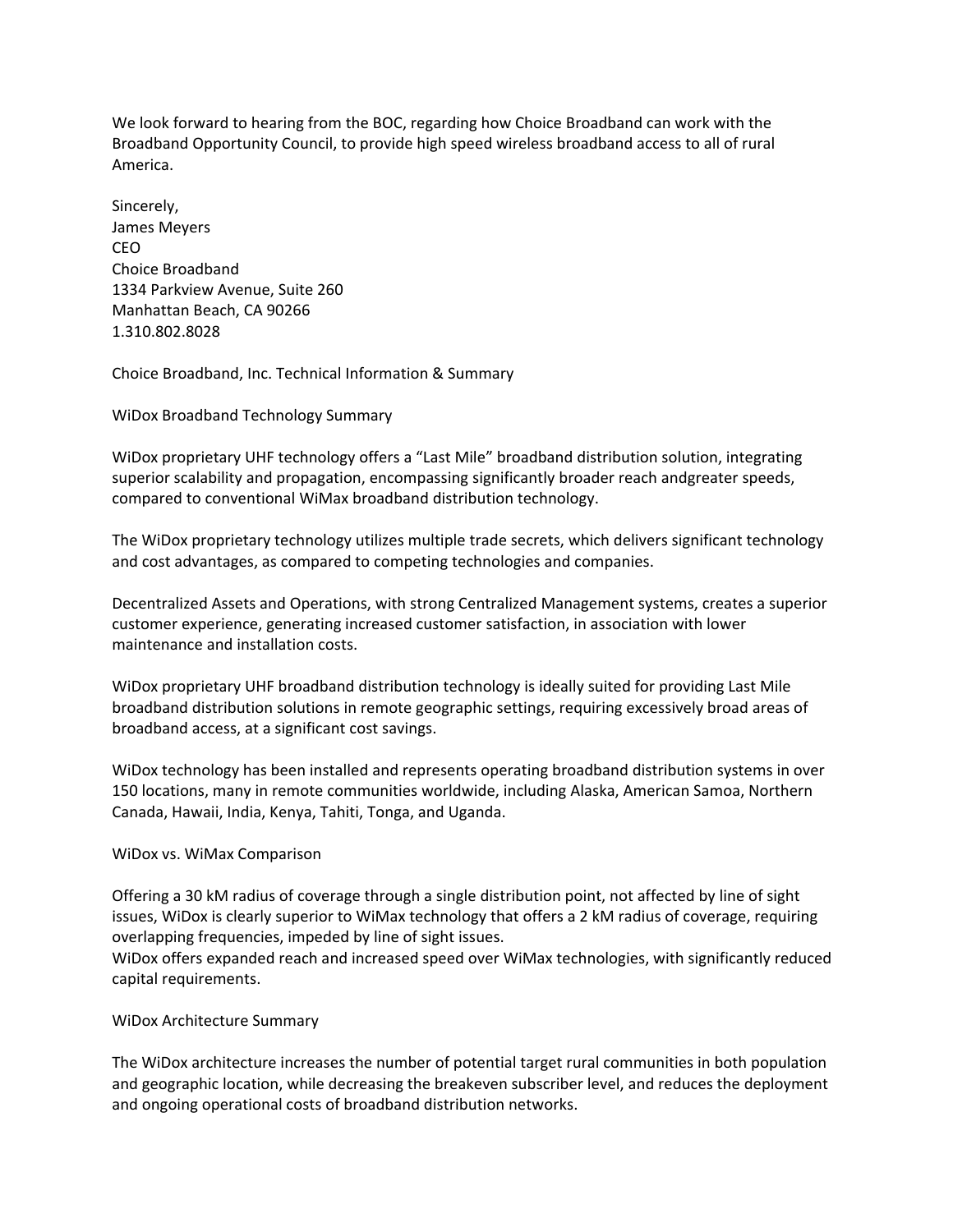We look forward to hearing from the BOC, regarding how Choice Broadband can work with the Broadband Opportunity Council, to provide high speed wireless broadband access to all of rural America.

Sincerely, James Meyers CEO Choice Broadband 1334 Parkview Avenue, Suite 260 Manhattan Beach, CA 90266 1.310.802.8028

Choice Broadband, Inc. Technical Information & Summary

WiDox Broadband Technology Summary

WiDox proprietary UHF technology offers a "Last Mile" broadband distribution solution, integrating superior scalability and propagation, encompassing significantly broader reach andgreater speeds, compared to conventional WiMax broadband distribution technology.

The WiDox proprietary technology utilizes multiple trade secrets, which delivers significant technology and cost advantages, as compared to competing technologies and companies.

Decentralized Assets and Operations, with strong Centralized Management systems, creates a superior customer experience, generating increased customer satisfaction, in association with lower maintenance and installation costs.

WiDox proprietary UHF broadband distribution technology is ideally suited for providing Last Mile broadband distribution solutions in remote geographic settings, requiring excessively broad areas of broadband access, at a significant cost savings.

WiDox technology has been installed and represents operating broadband distribution systems in over 150 locations, many in remote communities worldwide, including Alaska, American Samoa, Northern Canada, Hawaii, India, Kenya, Tahiti, Tonga, and Uganda.

## WiDox vs. WiMax Comparison

Offering a 30 kM radius of coverage through a single distribution point, not affected by line of sight issues, WiDox is clearly superior to WiMax technology that offers a 2 kM radius of coverage, requiring overlapping frequencies, impeded by line of sight issues.

WiDox offers expanded reach and increased speed over WiMax technologies, with significantly reduced capital requirements.

## WiDox Architecture Summary

The WiDox architecture increases the number of potential target rural communities in both population and geographic location, while decreasing the breakeven subscriber level, and reduces the deployment and ongoing operational costs of broadband distribution networks.